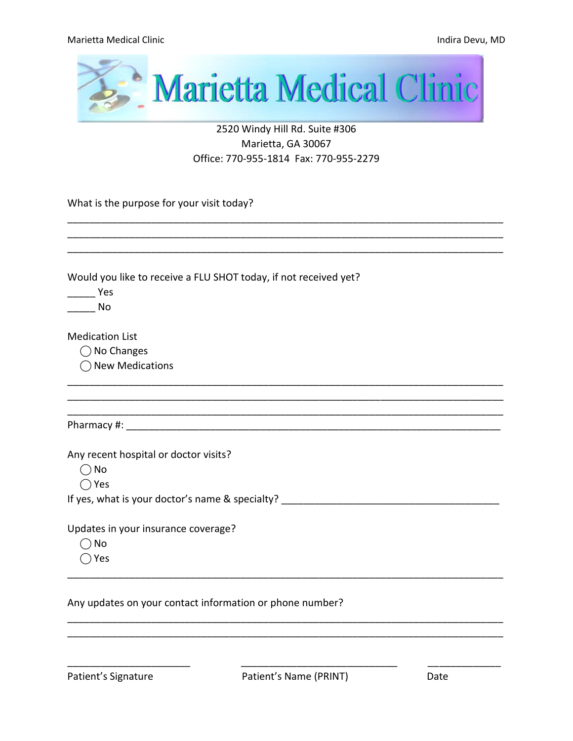

### 2520 Windy Hill Rd. Suite #306 Marietta, GA 30067 Office: 770-955-1814 Fax: 770-955-2279

\_\_\_\_\_\_\_\_\_\_\_\_\_\_\_\_\_\_\_\_\_\_\_\_\_\_\_\_\_\_\_\_\_\_\_\_\_\_\_\_\_\_\_\_\_\_\_\_\_\_\_\_\_\_\_\_\_\_\_\_\_\_\_\_\_\_\_\_\_\_\_\_\_\_\_\_\_\_

What is the purpose for your visit today?

| Would you like to receive a FLU SHOT today, if not received yet? |  |
|------------------------------------------------------------------|--|
| <b>Paragona</b> Yes                                              |  |
| No                                                               |  |
| <b>Medication List</b>                                           |  |
| ◯ No Changes                                                     |  |
| $\bigcirc$ New Medications                                       |  |
|                                                                  |  |
|                                                                  |  |
| Any recent hospital or doctor visits?                            |  |
| $\bigcirc$ No                                                    |  |
| $\bigcirc$ Yes                                                   |  |
|                                                                  |  |
| Updates in your insurance coverage?                              |  |
| ) No                                                             |  |
| Yes                                                              |  |
|                                                                  |  |

Any updates on your contact information or phone number?

\_\_\_\_\_\_\_\_\_\_\_\_\_\_\_\_\_\_\_\_\_\_\_\_\_\_\_\_\_\_\_\_\_\_\_\_\_\_\_\_\_\_\_\_\_\_\_\_\_\_\_\_\_\_\_\_\_\_\_\_\_\_\_\_\_\_\_\_\_\_\_\_\_\_\_\_\_\_ \_\_\_\_\_\_\_\_\_\_\_\_\_\_\_\_\_\_\_\_\_\_\_\_\_\_\_\_\_\_\_\_\_\_\_\_\_\_\_\_\_\_\_\_\_\_\_\_\_\_\_\_\_\_\_\_\_\_\_\_\_\_\_\_\_\_\_\_\_\_\_\_\_\_\_\_\_\_

\_\_\_\_\_\_\_\_\_\_\_\_\_\_\_\_\_\_\_\_\_\_ \_\_\_\_\_\_\_\_\_\_\_\_\_\_\_\_\_\_\_\_\_\_\_\_\_\_\_\_ \_\_\_\_\_\_\_\_\_\_\_\_\_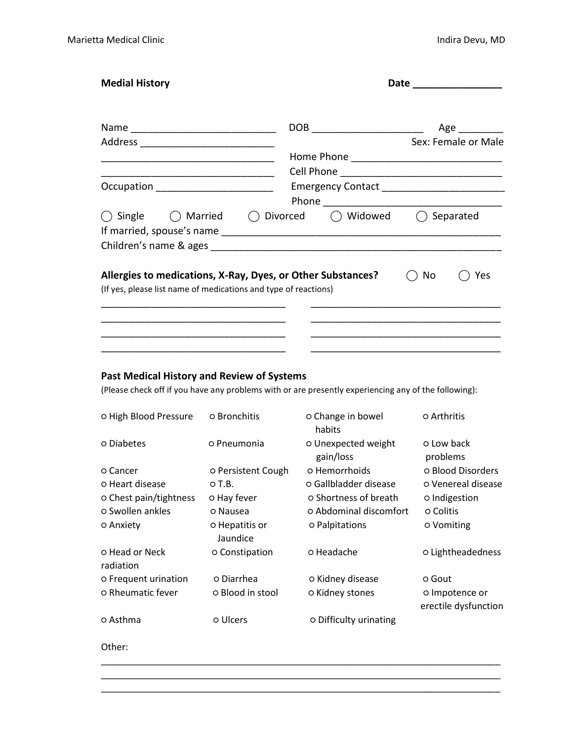| <b>Medial History</b>                                           |                                                             | Date |                     |  |
|-----------------------------------------------------------------|-------------------------------------------------------------|------|---------------------|--|
|                                                                 | DOB _______________________                                 |      | Age                 |  |
| Address                                                         |                                                             |      | Sex: Female or Male |  |
|                                                                 |                                                             |      |                     |  |
|                                                                 |                                                             |      |                     |  |
| Occupation _______________________                              |                                                             |      |                     |  |
| ◯ Single<br>() Married<br>Children's name & ages                | ◯ Widowed<br>◯ Divorced                                     |      | Separated           |  |
| (If yes, please list name of medications and type of reactions) | Allergies to medications, X-Ray, Dyes, or Other Substances? | No   | Yes                 |  |
|                                                                 |                                                             |      |                     |  |

#### **Past Medical History and Review of Systems**

(Please check off if you have any problems with or are presently experiencing any of the following):

| O High Blood Pressure       | O Bronchitis               | o Change in bowel<br>habits      | o Arthritis                            |
|-----------------------------|----------------------------|----------------------------------|----------------------------------------|
| o Diabetes                  | o Pneumonia                | o Unexpected weight<br>gain/loss | o Low back<br>problems                 |
| o Cancer                    | O Persistent Cough         | o Hemorrhoids                    | o Blood Disorders                      |
| o Heart disease             | $O$ T.B.                   | o Gallbladder disease            | o Venereal disease                     |
| o Chest pain/tightness      | o Hay fever                | o Shortness of breath            | o Indigestion                          |
| o Swollen ankles            | O Nausea                   | o Abdominal discomfort           | o Colitis                              |
| o Anxiety                   | o Hepatitis or<br>Jaundice | o Palpitations                   | <b>O</b> Vomiting                      |
| o Head or Neck<br>radiation | o Constipation             | o Headache                       | o Lightheadedness                      |
| o Frequent urination        | o Diarrhea                 | o Kidney disease                 | o Gout                                 |
| <b>O</b> Rheumatic fever    | O Blood in stool           | o Kidney stones                  | o Impotence or<br>erectile dysfunction |
| o Asthma                    | o Ulcers                   | o Difficulty urinating           |                                        |

\_\_\_\_\_\_\_\_\_\_\_\_\_\_\_\_\_\_\_\_\_\_\_\_\_\_\_\_\_\_\_\_\_\_\_\_\_\_\_\_\_\_\_\_\_\_\_\_\_\_\_\_\_\_\_\_\_\_\_\_\_\_\_\_\_\_\_\_\_\_\_\_\_\_\_\_\_\_ \_\_\_\_\_\_\_\_\_\_\_\_\_\_\_\_\_\_\_\_\_\_\_\_\_\_\_\_\_\_\_\_\_\_\_\_\_\_\_\_\_\_\_\_\_\_\_\_\_\_\_\_\_\_\_\_\_\_\_\_\_\_\_\_\_\_\_\_\_\_\_\_\_\_\_\_\_\_ \_\_\_\_\_\_\_\_\_\_\_\_\_\_\_\_\_\_\_\_\_\_\_\_\_\_\_\_\_\_\_\_\_\_\_\_\_\_\_\_\_\_\_\_\_\_\_\_\_\_\_\_\_\_\_\_\_\_\_\_\_\_\_\_\_\_\_\_\_\_\_\_\_\_\_\_\_\_

Other: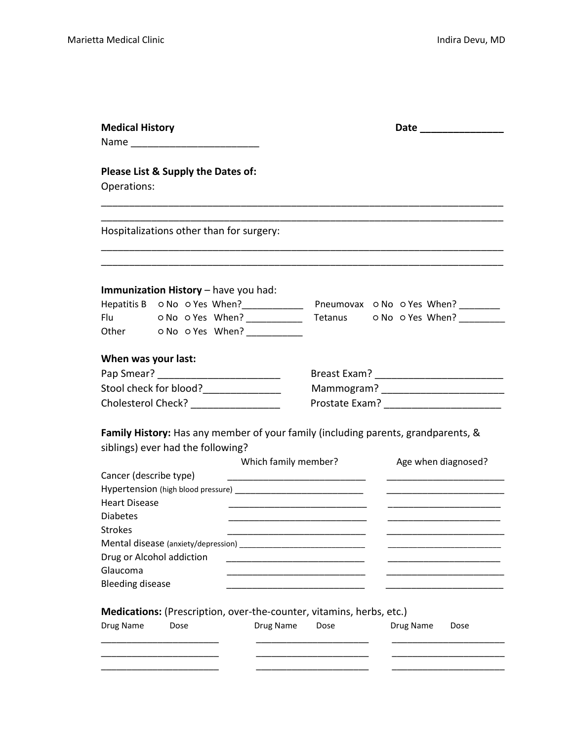| <b>Medical History</b>                                                                          |                                                                                                       |                      |                                                                              | <b>Date Example 2</b>                                                                                   |
|-------------------------------------------------------------------------------------------------|-------------------------------------------------------------------------------------------------------|----------------------|------------------------------------------------------------------------------|---------------------------------------------------------------------------------------------------------|
| Operations:                                                                                     | Please List & Supply the Dates of:                                                                    |                      |                                                                              |                                                                                                         |
|                                                                                                 | Hospitalizations other than for surgery:                                                              |                      |                                                                              |                                                                                                         |
|                                                                                                 | Immunization History - have you had:<br>Flu ONo OYes When?<br>Other o No o Yes When?                  |                      |                                                                              | Hepatitis B ONo OYes When?_______________ Pneumovax ONo OYes When? ________<br>Tetanus o No o Yes When? |
| When was your last:                                                                             | Stool check for blood?_______________<br>Cholesterol Check? ____________________                      |                      |                                                                              | Family History: Has any member of your family (including parents, grandparents, &                       |
| Cancer (describe type)<br><b>Heart Disease</b><br><b>Diabetes</b><br><b>Strokes</b><br>Glaucoma | siblings) ever had the following?<br>Mental disease (anxiety/depression)<br>Drug or Alcohol addiction | Which family member? |                                                                              | Age when diagnosed?                                                                                     |
| <b>Bleeding disease</b><br>Drug Name                                                            | Dose                                                                                                  | Drug Name            | Medications: (Prescription, over-the-counter, vitamins, herbs, etc.)<br>Dose | Drug Name<br>Dose                                                                                       |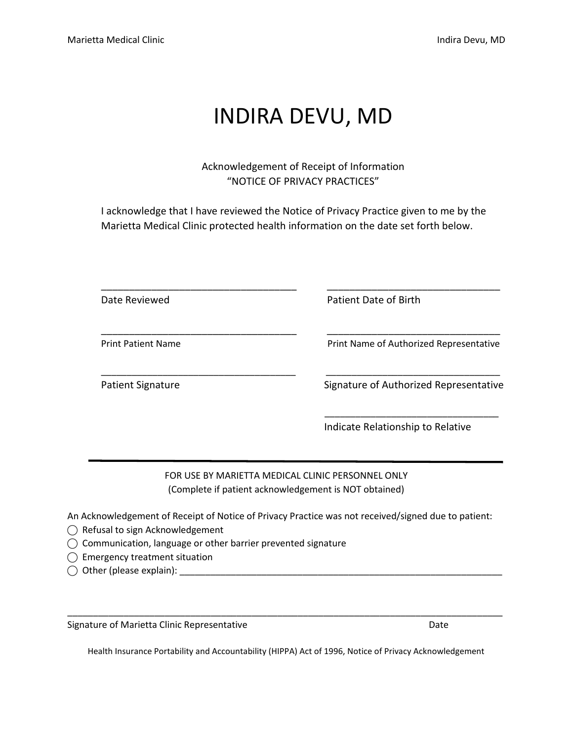### INDIRA DEVU, MD

Acknowledgement of Receipt of Information "NOTICE OF PRIVACY PRACTICES"

I acknowledge that I have reviewed the Notice of Privacy Practice given to me by the Marietta Medical Clinic protected health information on the date set forth below.

| Date Reviewed             | Patient Date of Birth                   |
|---------------------------|-----------------------------------------|
| <b>Print Patient Name</b> | Print Name of Authorized Representative |
| <b>Patient Signature</b>  | Signature of Authorized Representative  |
|                           | Indicate Relationship to Relative       |

FOR USE BY MARIETTA MEDICAL CLINIC PERSONNEL ONLY (Complete if patient acknowledgement is NOT obtained)

An Acknowledgement of Receipt of Notice of Privacy Practice was not received/signed due to patient:

- ◯ Refusal to sign Acknowledgement
- ⃝ Communication, language or other barrier prevented signature

 $\bigcirc$  Emergency treatment situation

⃝ Other (please explain): \_\_\_\_\_\_\_\_\_\_\_\_\_\_\_\_\_\_\_\_\_\_\_\_\_\_\_\_\_\_\_\_\_\_\_\_\_\_\_\_\_\_\_\_\_\_\_\_\_\_\_\_\_\_\_\_\_\_\_\_\_\_\_

Signature of Marietta Clinic Representative **Date of Access 2016** Date

Health Insurance Portability and Accountability (HIPPA) Act of 1996, Notice of Privacy Acknowledgement

\_\_\_\_\_\_\_\_\_\_\_\_\_\_\_\_\_\_\_\_\_\_\_\_\_\_\_\_\_\_\_\_\_\_\_\_\_\_\_\_\_\_\_\_\_\_\_\_\_\_\_\_\_\_\_\_\_\_\_\_\_\_\_\_\_\_\_\_\_\_\_\_\_\_\_\_\_\_\_\_\_\_\_\_\_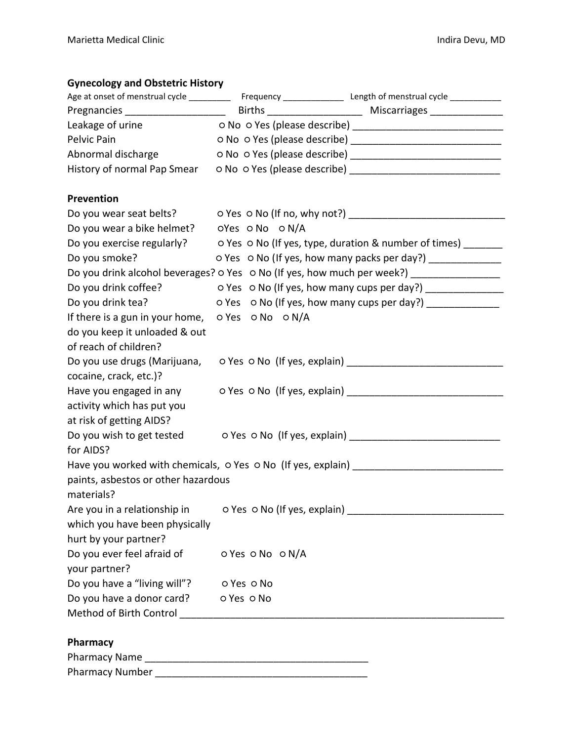### **Gynecology and Obstetric History**

| Pregnancies ______________________                                                |                              |                                                                                            |
|-----------------------------------------------------------------------------------|------------------------------|--------------------------------------------------------------------------------------------|
|                                                                                   |                              |                                                                                            |
| Pelvic Pain                                                                       |                              |                                                                                            |
| Abnormal discharge                                                                |                              |                                                                                            |
| History of normal Pap Smear                                                       |                              |                                                                                            |
| <b>Prevention</b>                                                                 |                              |                                                                                            |
|                                                                                   |                              | Do you wear seat belts? 0 Yes 0 No (If no, why not?) ___________________________           |
| Do you wear a bike helmet? oYes o No o N/A                                        |                              |                                                                                            |
|                                                                                   |                              | Do you exercise regularly?<br>o Yes o No (If yes, type, duration & number of times) ______ |
| Do you smoke?                                                                     |                              | o Yes o No (If yes, how many packs per day?) ______________                                |
|                                                                                   |                              | Do you drink alcohol beverages? o Yes o No (If yes, how much per week?) _______________    |
| Do you drink coffee?                                                              |                              | o Yes o No (If yes, how many cups per day?) _________________                              |
| Do you drink tea?                                                                 |                              | o Yes o No (If yes, how many cups per day?) ______________                                 |
| If there is a gun in your home, $\circ$ Yes $\circ$ No $\circ$ N/A                |                              |                                                                                            |
| do you keep it unloaded & out                                                     |                              |                                                                                            |
| of reach of children?                                                             |                              |                                                                                            |
| Do you use drugs (Marijuana,                                                      | o Yes o No (If yes, explain) |                                                                                            |
| cocaine, crack, etc.)?                                                            |                              |                                                                                            |
|                                                                                   |                              | Have you engaged in any o Yes o No (If yes, explain) ___________________________           |
| activity which has put you                                                        |                              |                                                                                            |
| at risk of getting AIDS?                                                          |                              |                                                                                            |
|                                                                                   |                              | Do you wish to get tested o Yes o No (If yes, explain) _________________________           |
| for AIDS?                                                                         |                              |                                                                                            |
|                                                                                   |                              |                                                                                            |
| paints, asbestos or other hazardous                                               |                              |                                                                                            |
| materials?                                                                        |                              |                                                                                            |
| Are you in a relationship in o Yes o No (If yes, explain) _______________________ |                              |                                                                                            |
| which you have been physically                                                    |                              |                                                                                            |
| hurt by your partner?                                                             |                              |                                                                                            |
| Do you ever feel afraid of                                                        | o Yes o No o N/A             |                                                                                            |
| your partner?                                                                     |                              |                                                                                            |
| Do you have a "living will"? o Yes o No                                           |                              |                                                                                            |
| Do you have a donor card? o Yes o No                                              |                              |                                                                                            |
|                                                                                   |                              |                                                                                            |
| Pharmacy                                                                          |                              |                                                                                            |
|                                                                                   |                              |                                                                                            |
|                                                                                   |                              |                                                                                            |
|                                                                                   |                              |                                                                                            |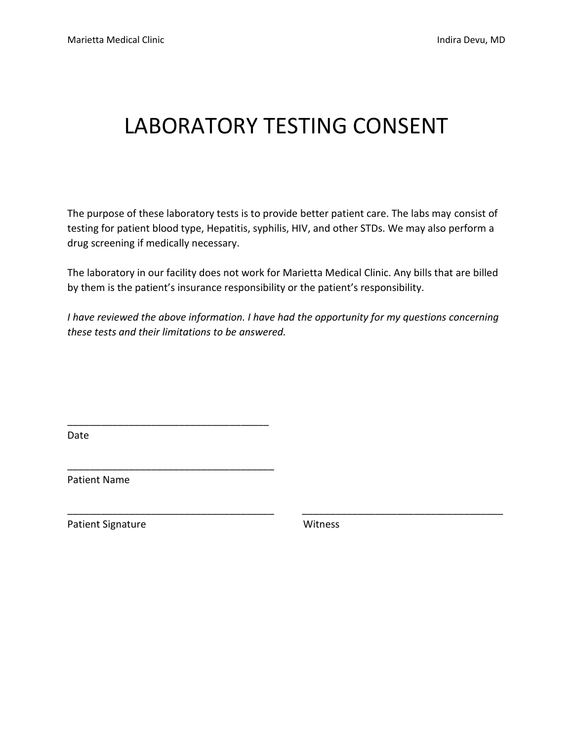## LABORATORY TESTING CONSENT

The purpose of these laboratory tests is to provide better patient care. The labs may consist of testing for patient blood type, Hepatitis, syphilis, HIV, and other STDs. We may also perform a drug screening if medically necessary.

The laboratory in our facility does not work for Marietta Medical Clinic. Any bills that are billed by them is the patient's insurance responsibility or the patient's responsibility.

*I have reviewed the above information. I have had the opportunity for my questions concerning these tests and their limitations to be answered.*

\_\_\_\_\_\_\_\_\_\_\_\_\_\_\_\_\_\_\_\_\_\_\_\_\_\_\_\_\_\_\_\_\_\_\_\_\_ \_\_\_\_\_\_\_\_\_\_\_\_\_\_\_\_\_\_\_\_\_\_\_\_\_\_\_\_\_\_\_\_\_\_\_\_

Date

Patient Name

\_\_\_\_\_\_\_\_\_\_\_\_\_\_\_\_\_\_\_\_\_\_\_\_\_\_\_\_\_\_\_\_\_\_\_\_

\_\_\_\_\_\_\_\_\_\_\_\_\_\_\_\_\_\_\_\_\_\_\_\_\_\_\_\_\_\_\_\_\_\_\_\_\_

Patient Signature Witness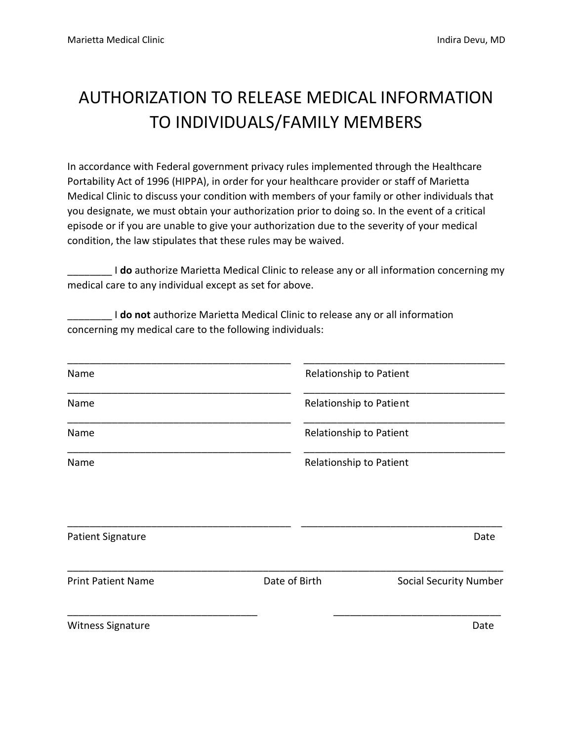### AUTHORIZATION TO RELEASE MEDICAL INFORMATION TO INDIVIDUALS/FAMILY MEMBERS

In accordance with Federal government privacy rules implemented through the Healthcare Portability Act of 1996 (HIPPA), in order for your healthcare provider or staff of Marietta Medical Clinic to discuss your condition with members of your family or other individuals that you designate, we must obtain your authorization prior to doing so. In the event of a critical episode or if you are unable to give your authorization due to the severity of your medical condition, the law stipulates that these rules may be waived.

\_\_\_\_\_\_\_\_ I **do** authorize Marietta Medical Clinic to release any or all information concerning my medical care to any individual except as set for above.

\_\_\_\_\_\_\_\_ I **do not** authorize Marietta Medical Clinic to release any or all information concerning my medical care to the following individuals:

| Name                      | Relationship to Patient |                               |
|---------------------------|-------------------------|-------------------------------|
| Name                      | Relationship to Patient |                               |
| Name                      | Relationship to Patient |                               |
| Name                      | Relationship to Patient |                               |
| Patient Signature         |                         | Date                          |
|                           |                         |                               |
| <b>Print Patient Name</b> | Date of Birth           | <b>Social Security Number</b> |
| Witness Signature         |                         | Date                          |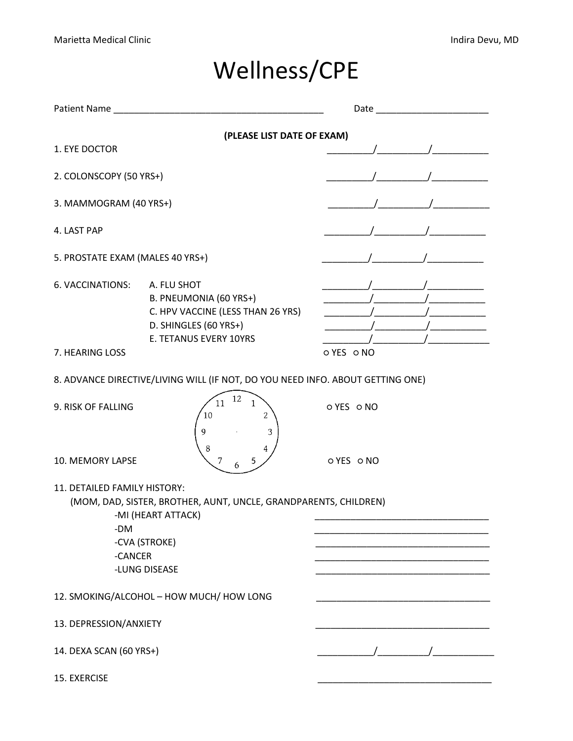## Wellness/CPE

| Patient Name                                   |                                                                                                                               | Date     |
|------------------------------------------------|-------------------------------------------------------------------------------------------------------------------------------|----------|
|                                                | (PLEASE LIST DATE OF EXAM)                                                                                                    |          |
| 1. EYE DOCTOR                                  |                                                                                                                               |          |
| 2. COLONSCOPY (50 YRS+)                        |                                                                                                                               |          |
| 3. MAMMOGRAM (40 YRS+)                         |                                                                                                                               |          |
| 4. LAST PAP                                    |                                                                                                                               |          |
| 5. PROSTATE EXAM (MALES 40 YRS+)               |                                                                                                                               |          |
| 6. VACCINATIONS:                               | A. FLU SHOT<br>B. PNEUMONIA (60 YRS+)<br>C. HPV VACCINE (LESS THAN 26 YRS)<br>D. SHINGLES (60 YRS+)<br>E. TETANUS EVERY 10YRS |          |
| 7. HEARING LOSS                                |                                                                                                                               | OYES ONO |
|                                                | 8. ADVANCE DIRECTIVE/LIVING WILL (IF NOT, DO YOU NEED INFO. ABOUT GETTING ONE)                                                |          |
| 9. RISK OF FALLING                             | 12<br>11<br>1<br>$\overline{c}$<br>10<br>9<br>3<br>8                                                                          | OYES ONO |
| 10. MEMORY LAPSE                               | 7<br>5<br>6                                                                                                                   | OYES ONO |
| 11. DETAILED FAMILY HISTORY:<br>-DM<br>-CANCER | (MOM, DAD, SISTER, BROTHER, AUNT, UNCLE, GRANDPARENTS, CHILDREN)<br>-MI (HEART ATTACK)<br>-CVA (STROKE)<br>-LUNG DISEASE      |          |
|                                                | 12. SMOKING/ALCOHOL - HOW MUCH/ HOW LONG                                                                                      |          |
| 13. DEPRESSION/ANXIETY                         |                                                                                                                               |          |
| 14. DEXA SCAN (60 YRS+)                        |                                                                                                                               |          |
| 15. EXERCISE                                   |                                                                                                                               |          |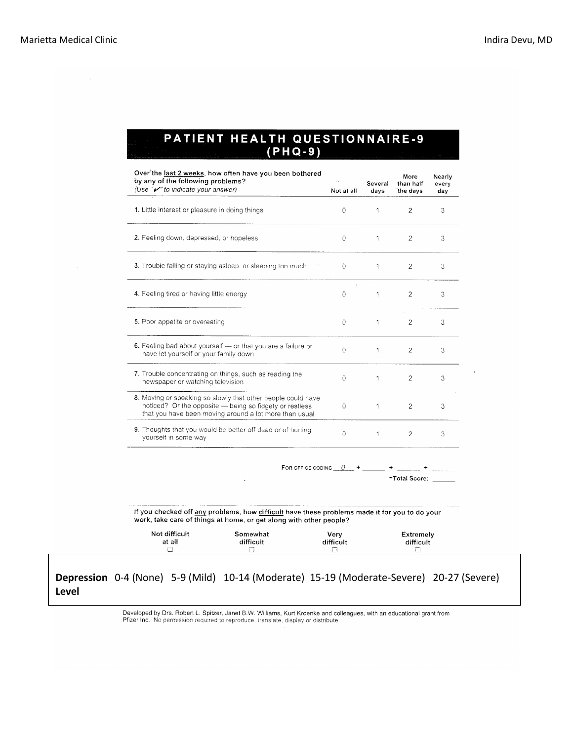# PATIENT HEALTH QUESTIONNAIRE-9<br>(PHQ-9)

| Over the last 2 weeks, how often have you been bothered<br>by any of the following problems?<br>(Use " $\mathcal{V}$ " to indicate your answer)                                   | Not at all | Several<br>days | More<br>than half<br>the days | Nearly<br>every<br>day |
|-----------------------------------------------------------------------------------------------------------------------------------------------------------------------------------|------------|-----------------|-------------------------------|------------------------|
| 1. Little interest or pleasure in doing things                                                                                                                                    | $\Omega$   | $\overline{1}$  | $\overline{2}$                | 3                      |
| 2. Feeling down, depressed, or hopeless                                                                                                                                           | $\Omega$   | $\mathbf{1}$    | 2                             | 3                      |
| 3. Trouble falling or staying asleep, or sleeping too much                                                                                                                        | $\Omega$   | 1               | $\overline{2}$                | 3                      |
| 4. Feeling tired or having little energy                                                                                                                                          | $\Omega$   | 1               | $\overline{2}$                | 3                      |
| 5. Poor appetite or overeating                                                                                                                                                    | $\circ$    | $\mathbf{1}$    | $\overline{2}$                | 3                      |
| 6. Feeling bad about yourself - or that you are a failure or<br>have let yourself or your family down                                                                             | $\Omega$   | $\mathbf{1}$    | $\overline{c}$                | 3                      |
| 7. Trouble concentrating on things, such as reading the<br>newspaper or watching television                                                                                       | $\theta$   | $\mathbf{1}$    | 2                             | 3                      |
| 8. Moving or speaking so slowly that other people could have<br>noticed? Or the opposite - being so fidgety or restless<br>that you have been moving around a lot more than usual | $\Omega$   | $\mathbf{1}$    | $\overline{2}$                | 3                      |
| 9. Thoughts that you would be better off dead or of hurting<br>yourself in some way                                                                                               | $\Omega$   | $\mathbf{1}$    | 2                             | 3                      |
| FOR OFFICE CODING $\theta$ +                                                                                                                                                      |            |                 |                               |                        |

=Total Score:

If you checked off any problems, how difficult have these problems made it for you to do your work, take care of things at home, or get along with other people?

 $\ddot{\phantom{a}}$ 

| Not difficult | Somewhat  | Verv      | <b>Extremely</b> |
|---------------|-----------|-----------|------------------|
| at all        | difficult | difficult | difficult        |
| <b>Second</b> |           | –         |                  |

#### **Depression** 0-4 (None) 5-9 (Mild) 10-14 (Moderate) 15-19 (Moderate-Severe) 20-27 (Severe) **Level**

Developed by Drs. Robert L. Spitzer, Janet B.W. Williams, Kurt Kroenke and colleagues, with an educational grant from Pfizer Inc. No permission required to reproduce, translate, display or distribute.